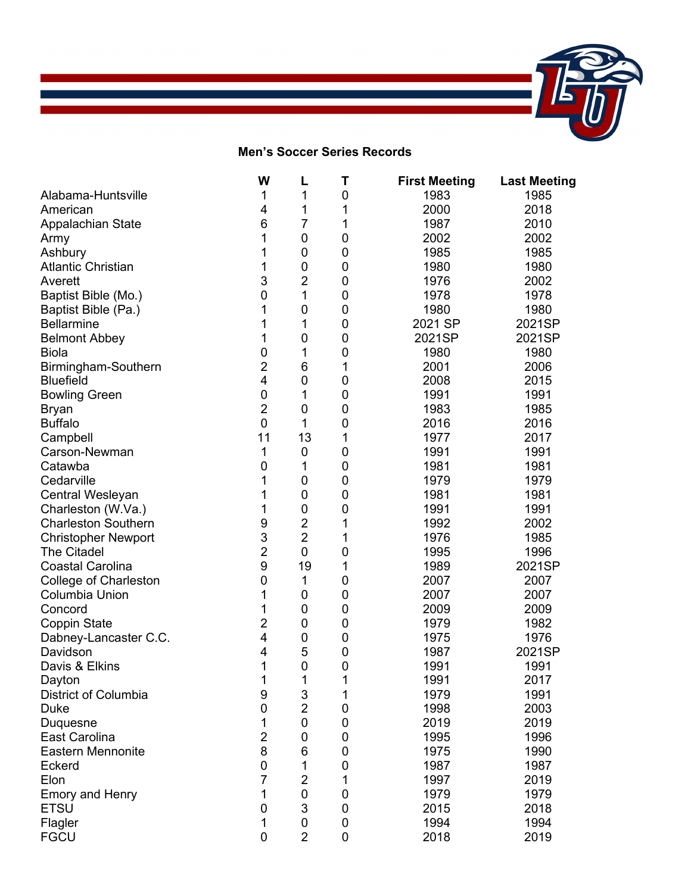

## **Men's Soccer Series Records**

|                              | W              | L              | Τ | <b>First Meeting</b> | <b>Last Meeting</b> |
|------------------------------|----------------|----------------|---|----------------------|---------------------|
| Alabama-Huntsville           | 1              | 1              | 0 | 1983                 | 1985                |
| American                     | 4              | 1              | 1 | 2000                 | 2018                |
| <b>Appalachian State</b>     | 6              | 7              | 1 | 1987                 | 2010                |
| Army                         |                | 0              | 0 | 2002                 | 2002                |
| Ashbury                      |                | 0              | 0 | 1985                 | 1985                |
| <b>Atlantic Christian</b>    | 1              | 0              | 0 | 1980                 | 1980                |
| Averett                      | 3              | $\overline{c}$ | 0 | 1976                 | 2002                |
| Baptist Bible (Mo.)          | 0              | 1              | 0 | 1978                 | 1978                |
| Baptist Bible (Pa.)          |                | $\mathbf 0$    | 0 | 1980                 | 1980                |
| <b>Bellarmine</b>            |                | 1              | 0 | 2021 SP              | 2021SP              |
| <b>Belmont Abbey</b>         | 1              | 0              | 0 | 2021SP               | 2021SP              |
| <b>Biola</b>                 | 0              | 1              | 0 | 1980                 | 1980                |
| Birmingham-Southern          | $\overline{2}$ | 6              | 1 | 2001                 | 2006                |
| <b>Bluefield</b>             | 4              | $\mathbf 0$    | 0 | 2008                 | 2015                |
| <b>Bowling Green</b>         | $\mathbf 0$    | 1              | 0 | 1991                 | 1991                |
| <b>Bryan</b>                 | 2              | $\mathbf 0$    | 0 | 1983                 | 1985                |
| <b>Buffalo</b>               | $\mathbf 0$    | 1              | 0 | 2016                 | 2016                |
| Campbell                     | 11             | 13             | 1 | 1977                 | 2017                |
| Carson-Newman                | 1              | 0              | 0 | 1991                 | 1991                |
| Catawba                      | 0              | 1              | 0 | 1981                 | 1981                |
| Cedarville                   |                | 0              | 0 | 1979                 | 1979                |
| Central Wesleyan             |                | 0              | 0 | 1981                 | 1981                |
| Charleston (W.Va.)           | 1              | 0              | 0 | 1991                 | 1991                |
| <b>Charleston Southern</b>   | 9              | $\overline{c}$ | 1 | 1992                 | 2002                |
| <b>Christopher Newport</b>   | 3              | $\overline{2}$ | 1 | 1976                 | 1985                |
| <b>The Citadel</b>           | $\overline{c}$ | $\mathbf 0$    | 0 | 1995                 | 1996                |
| <b>Coastal Carolina</b>      | 9              | 19             | 1 | 1989                 | 2021SP              |
| <b>College of Charleston</b> | 0              | 1              | 0 | 2007                 | 2007                |
| <b>Columbia Union</b>        | 1              | 0              | 0 | 2007                 | 2007                |
| Concord                      | 1              | 0              | 0 | 2009                 | 2009                |
| <b>Coppin State</b>          | 2              | 0              | 0 | 1979                 | 1982                |
| Dabney-Lancaster C.C.        | 4              | 0              | 0 | 1975                 | 1976                |
| Davidson                     | 4              | 5              | 0 | 1987                 | 2021SP              |
| Davis & Elkins               | 1              | 0              | 0 | 1991                 | 1991                |
| Dayton                       | 1              | 1              | 1 | 1991                 | 2017                |
| District of Columbia         | 9              | 3              | 1 | 1979                 | 1991                |
| Duke                         | 0              | $\overline{2}$ | 0 | 1998                 | 2003                |
| Duquesne                     | 1              | 0              | 0 | 2019                 | 2019                |
| East Carolina                | 2              | 0              | 0 | 1995                 | 1996                |
| <b>Eastern Mennonite</b>     | 8              | 6              | 0 | 1975                 | 1990                |
| Eckerd                       | 0              | 1              | 0 | 1987                 | 1987                |
| Elon                         | 7              | $\overline{c}$ |   | 1997                 | 2019                |
| <b>Emory and Henry</b>       | 1              | 0              | 0 | 1979                 | 1979                |
| <b>ETSU</b>                  | 0              | 3              | 0 | 2015                 | 2018                |
| Flagler                      | 1              | 0              | 0 | 1994                 | 1994                |
| <b>FGCU</b>                  | 0              | $\overline{2}$ | 0 | 2018                 | 2019                |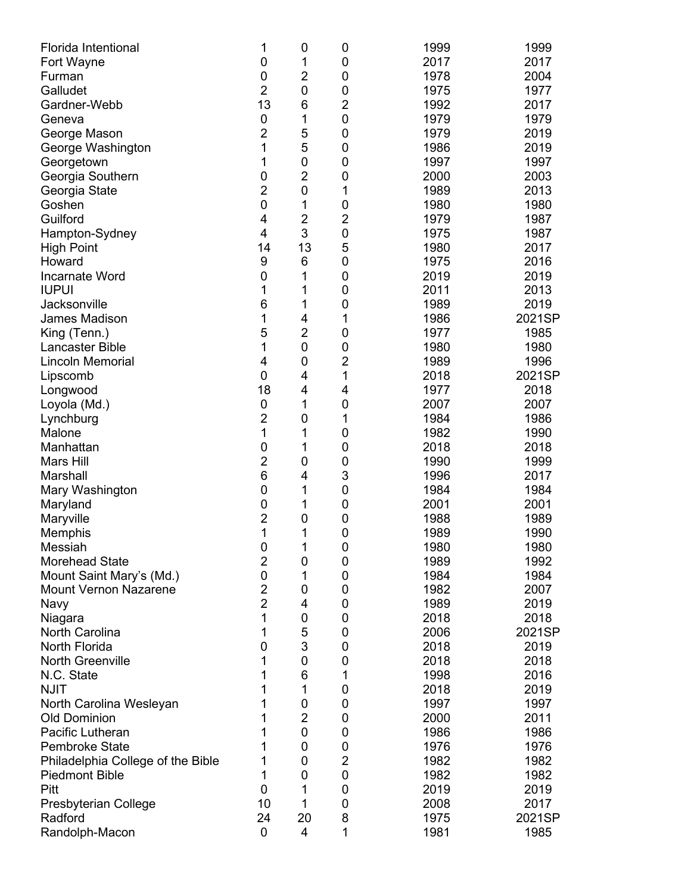| Florida Intentional<br>Fort Wayne | 1<br>0         | 0<br>1         | 0<br>0         | 1999<br>2017 | 1999<br>2017 |
|-----------------------------------|----------------|----------------|----------------|--------------|--------------|
| Furman                            | $\mathbf 0$    | $\overline{2}$ | 0              | 1978         | 2004         |
| Galludet                          | $\overline{2}$ | 0              | 0              | 1975         | 1977         |
| Gardner-Webb                      | 13             | 6              | $\overline{c}$ | 1992         | 2017         |
| Geneva                            | $\pmb{0}$      | 1              | $\mathbf 0$    | 1979         | 1979         |
| George Mason                      | $\overline{2}$ | 5              | 0              | 1979         | 2019         |
| George Washington                 | 1              | 5              | $\mathbf 0$    | 1986         | 2019         |
| Georgetown                        | 1              | 0              | $\mathbf 0$    | 1997         | 1997         |
| Georgia Southern                  | $\mathbf 0$    | $\overline{2}$ | 0              | 2000         | 2003         |
| Georgia State                     | $\overline{2}$ | $\mathbf 0$    | 1              | 1989         | 2013         |
| Goshen                            | $\mathbf 0$    | 1              | $\mathbf 0$    | 1980         | 1980         |
| Guilford                          | 4              | $\overline{c}$ | $\overline{c}$ | 1979         | 1987         |
| Hampton-Sydney                    | 4              | 3              | $\mathbf 0$    | 1975         | 1987         |
| <b>High Point</b>                 | 14             | 13             | 5              | 1980         | 2017         |
| Howard                            | 9              | 6              | $\mathbf 0$    | 1975         | 2016         |
| Incarnate Word                    | $\mathbf 0$    | 1              | 0              | 2019         | 2019         |
| <b>IUPUI</b>                      | 1              | 1              | 0              | 2011         | 2013         |
| Jacksonville                      | 6              | 1              | 0              | 1989         | 2019         |
| James Madison                     | 1              | 4              | 1              | 1986         | 2021SP       |
| King (Tenn.)                      | 5              | $\overline{2}$ | $\mathbf 0$    | 1977         | 1985         |
| <b>Lancaster Bible</b>            | 1              | 0              | $\mathbf 0$    | 1980         | 1980         |
| Lincoln Memorial                  | 4              | 0              | $\overline{c}$ | 1989         | 1996         |
| Lipscomb                          | $\mathbf 0$    | 4              | 1              | 2018         | 2021SP       |
| Longwood                          | 18             | 4              | 4              | 1977         | 2018         |
| Loyola (Md.)                      | $\pmb{0}$      | 1              | $\mathbf 0$    | 2007         | 2007         |
| Lynchburg                         | $\overline{2}$ | 0              | 1              | 1984         | 1986         |
| Malone                            | 1              | 1              | 0              | 1982         | 1990         |
| Manhattan                         | $\mathbf 0$    | 1              | $\mathbf 0$    | 2018         | 2018         |
| <b>Mars Hill</b>                  | $\overline{2}$ | $\mathbf 0$    | 0              | 1990         | 1999         |
| Marshall                          | $\,6$          | 4              | 3              | 1996         | 2017         |
| Mary Washington                   | 0              | 1              | $\mathbf 0$    | 1984         | 1984         |
| Maryland                          | $\pmb{0}$      | 1              | 0              | 2001         | 2001         |
| Maryville                         | $\overline{c}$ | 0              | 0              | 1988         | 1989         |
| Memphis                           | 1              | 1              | 0              | 1989         | 1990         |
| Messiah                           | $\pmb{0}$      | 1              | $\pmb{0}$      | 1980         | 1980         |
| <b>Morehead State</b>             | $\overline{2}$ | 0              | 0              | 1989         | 1992         |
| Mount Saint Mary's (Md.)          | $\mathbf 0$    | 1              | 0              | 1984         | 1984         |
| <b>Mount Vernon Nazarene</b>      | $\overline{2}$ | 0              | 0              | 1982         | 2007         |
| Navy                              | $\overline{2}$ | 4              | 0              | 1989         | 2019         |
| Niagara                           | 1              | 0              | 0              | 2018         | 2018         |
| North Carolina                    | 1              | 5              | 0              | 2006         | 2021SP       |
| North Florida                     | 0              | 3              | 0              | 2018         | 2019         |
| <b>North Greenville</b>           | 1              | 0              | 0              | 2018         | 2018         |
| N.C. State                        | 1              | 6              | 1              | 1998         | 2016         |
| <b>NJIT</b>                       | 1              | 1              | 0              | 2018         | 2019         |
| North Carolina Wesleyan           | 1              | 0              | 0              | 1997         | 1997         |
| <b>Old Dominion</b>               | 1              | $\overline{2}$ | 0              | 2000         | 2011         |
| Pacific Lutheran                  | 1              | 0              | 0              | 1986         | 1986         |
| Pembroke State                    | 1              | 0              | 0              | 1976         | 1976         |
| Philadelphia College of the Bible | 1              | 0              | $\overline{2}$ | 1982         | 1982         |
| <b>Piedmont Bible</b>             | 1              | 0              | $\mathbf 0$    | 1982         | 1982         |
| Pitt                              | 0              | 1              | 0              | 2019         | 2019         |
| Presbyterian College              | 10             | 1              | 0              | 2008         | 2017         |
| Radford                           | 24             | 20             | 8              | 1975         | 2021SP       |
| Randolph-Macon                    | $\mathbf 0$    | 4              | 1              | 1981         | 1985         |